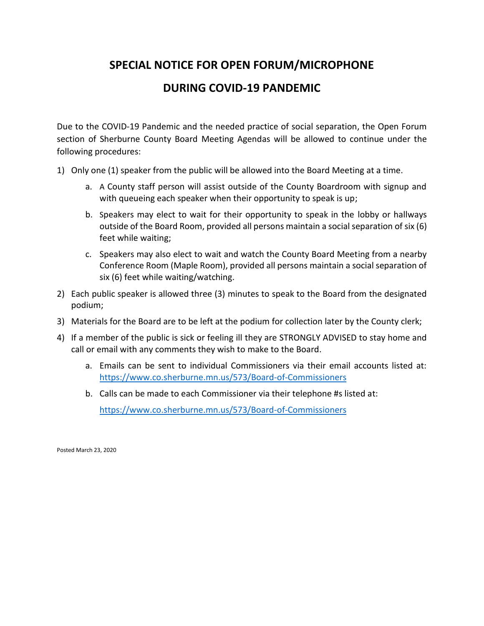## **SPECIAL NOTICE FOR OPEN FORUM/MICROPHONE**

## **DURING COVID-19 PANDEMIC**

Due to the COVID-19 Pandemic and the needed practice of social separation, the Open Forum section of Sherburne County Board Meeting Agendas will be allowed to continue under the following procedures:

- 1) Only one (1) speaker from the public will be allowed into the Board Meeting at a time.
	- a. A County staff person will assist outside of the County Boardroom with signup and with queueing each speaker when their opportunity to speak is up;
	- b. Speakers may elect to wait for their opportunity to speak in the lobby or hallways outside of the Board Room, provided all persons maintain a social separation of six (6) feet while waiting;
	- c. Speakers may also elect to wait and watch the County Board Meeting from a nearby Conference Room (Maple Room), provided all persons maintain a social separation of six (6) feet while waiting/watching.
- 2) Each public speaker is allowed three (3) minutes to speak to the Board from the designated podium;
- 3) Materials for the Board are to be left at the podium for collection later by the County clerk;
- 4) If a member of the public is sick or feeling ill they are STRONGLY ADVISED to stay home and call or email with any comments they wish to make to the Board.
	- a. Emails can be sent to individual Commissioners via their email accounts listed at: <https://www.co.sherburne.mn.us/573/Board-of-Commissioners>
	- b. Calls can be made to each Commissioner via their telephone #s listed at:

<https://www.co.sherburne.mn.us/573/Board-of-Commissioners>

Posted March 23, 2020